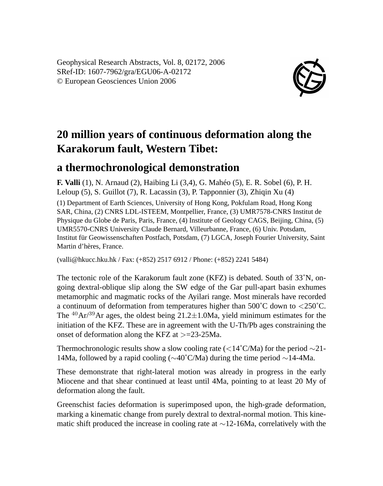Geophysical Research Abstracts, Vol. 8, 02172, 2006 SRef-ID: 1607-7962/gra/EGU06-A-02172 © European Geosciences Union 2006



## **20 million years of continuous deformation along the Karakorum fault, Western Tibet:**

## **a thermochronological demonstration**

**F. Valli** (1), N. Arnaud (2), Haibing Li (3,4), G. Mahéo (5), E. R. Sobel (6), P. H. Leloup (5), S. Guillot (7), R. Lacassin (3), P. Tapponnier (3), Zhiqin Xu (4)

(1) Department of Earth Sciences, University of Hong Kong, Pokfulam Road, Hong Kong SAR, China, (2) CNRS LDL-ISTEEM, Montpellier, France, (3) UMR7578-CNRS Institut de Physique du Globe de Paris, Paris, France, (4) Institute of Geology CAGS, Beijing, China, (5) UMR5570-CNRS University Claude Bernard, Villeurbanne, France, (6) Univ. Potsdam, Institut für Geowissenschaften Postfach, Potsdam, (7) LGCA, Joseph Fourier University, Saint Martin d'hères, France.

(valli@hkucc.hku.hk / Fax: (+852) 2517 6912 / Phone: (+852) 2241 5484)

The tectonic role of the Karakorum fault zone (KFZ) is debated. South of 33˚N, ongoing dextral-oblique slip along the SW edge of the Gar pull-apart basin exhumes metamorphic and magmatic rocks of the Ayilari range. Most minerals have recorded a continuum of deformation from temperatures higher than  $500^{\circ}$ C down to  $\langle 250^{\circ}$ C. The <sup>40</sup>Ar/<sup>39</sup>Ar ages, the oldest being  $21.2 \pm 1.0$ Ma, yield minimum estimates for the initiation of the KFZ. These are in agreement with the U-Th/Pb ages constraining the onset of deformation along the KFZ at >=23-25Ma.

Thermochronologic results show a slow cooling rate (<14˚C/Ma) for the period ∼21- 14Ma, followed by a rapid cooling (∼40˚C/Ma) during the time period ∼14-4Ma.

These demonstrate that right-lateral motion was already in progress in the early Miocene and that shear continued at least until 4Ma, pointing to at least 20 My of deformation along the fault.

Greenschist facies deformation is superimposed upon, the high-grade deformation, marking a kinematic change from purely dextral to dextral-normal motion. This kinematic shift produced the increase in cooling rate at ∼12-16Ma, correlatively with the